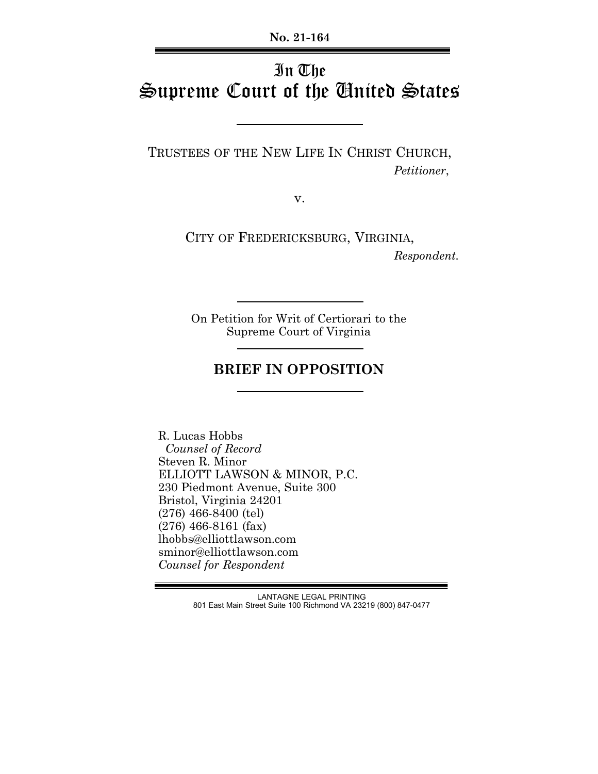**No. 21-164**

# In The Supreme Court of the United States

TRUSTEES OF THE NEW LIFE IN CHRIST CHURCH,  *Petitioner*,

v.

CITY OF FREDERICKSBURG, VIRGINIA,  *Respondent.*

On Petition for Writ of Certiorari to the Supreme Court of Virginia

### **BRIEF IN OPPOSITION**

 R. Lucas Hobbs  *Counsel of Record* Steven R. Minor ELLIOTT LAWSON & MINOR, P.C. 230 Piedmont Avenue, Suite 300 Bristol, Virginia 24201 (276) 466-8400 (tel) (276) 466-8161 (fax) lhobbs@elliottlawson.com sminor@elliottlawson.com *Counsel for Respondent*

> LANTAGNE LEGAL PRINTING 801 East Main Street Suite 100 Richmond VA 23219 (800) 847-0477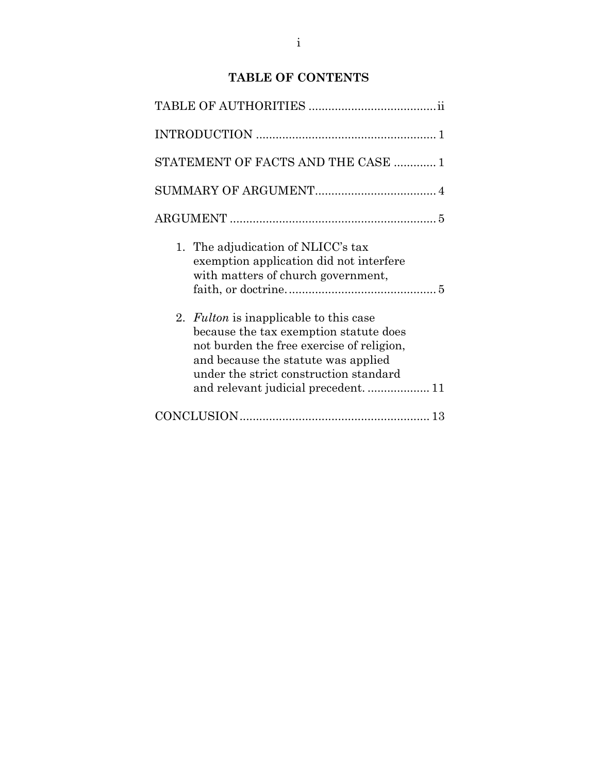### **TABLE OF CONTENTS**

| STATEMENT OF FACTS AND THE CASE  1                                                                                                                                                                             |
|----------------------------------------------------------------------------------------------------------------------------------------------------------------------------------------------------------------|
|                                                                                                                                                                                                                |
|                                                                                                                                                                                                                |
| 1. The adjudication of NLICC's tax<br>exemption application did not interfere<br>with matters of church government,                                                                                            |
| 2. Fulton is inapplicable to this case<br>because the tax exemption statute does<br>not burden the free exercise of religion,<br>and because the statute was applied<br>under the strict construction standard |
|                                                                                                                                                                                                                |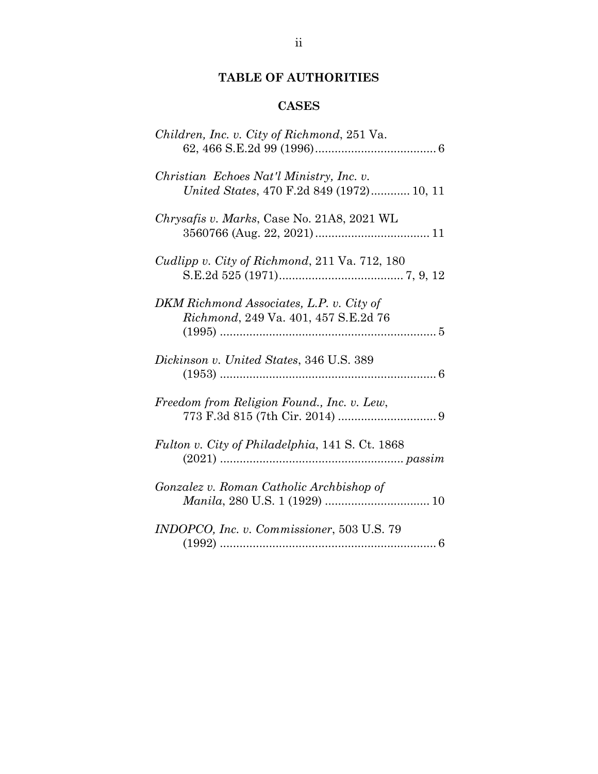### **TABLE OF AUTHORITIES**

## **CASES**

| Children, Inc. v. City of Richmond, 251 Va.                                           |
|---------------------------------------------------------------------------------------|
| Christian Echoes Nat'l Ministry, Inc. v.<br>United States, 470 F.2d 849 (1972) 10, 11 |
| Chrysafis v. Marks, Case No. 21A8, 2021 WL                                            |
| Cudlipp v. City of Richmond, 211 Va. 712, 180                                         |
| DKM Richmond Associates, L.P. v. City of<br>Richmond, 249 Va. 401, 457 S.E.2d 76      |
| Dickinson v. United States, 346 U.S. 389                                              |
| Freedom from Religion Found., Inc. v. Lew,                                            |
| Fulton v. City of Philadelphia, 141 S. Ct. 1868                                       |
| Gonzalez v. Roman Catholic Archbishop of                                              |
| INDOPCO, Inc. v. Commissioner, 503 U.S. 79                                            |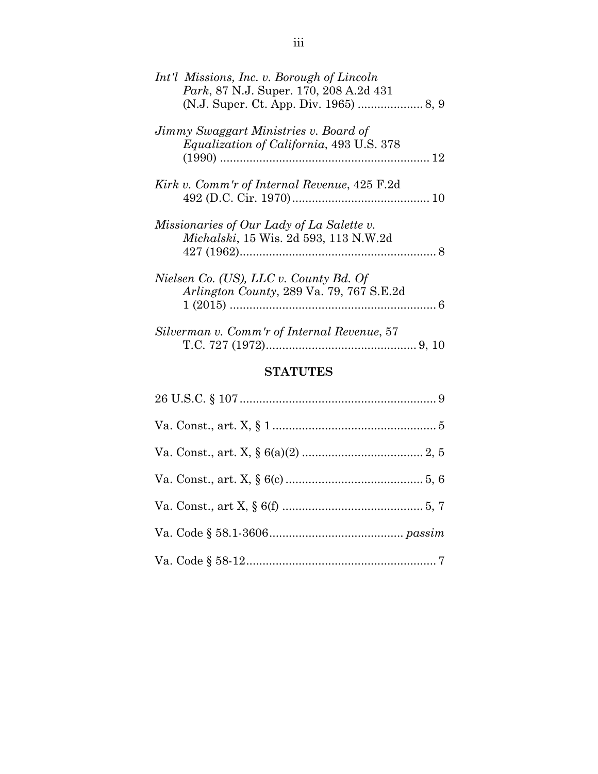| Int'l Missions, Inc. v. Borough of Lincoln<br>Park, 87 N.J. Super. 170, 208 A.2d 431     |  |
|------------------------------------------------------------------------------------------|--|
| Jimmy Swaggart Ministries v. Board of<br><i>Equalization of California, 493 U.S. 378</i> |  |
| Kirk v. Comm'r of Internal Revenue, 425 F.2d                                             |  |
| Missionaries of Our Lady of La Salette v.<br>Michalski, 15 Wis. 2d 593, 113 N.W.2d       |  |
| Nielsen Co. (US), LLC v. County Bd. Of<br>Arlington County, 289 Va. 79, 767 S.E.2d       |  |
| Silverman v. Comm'r of Internal Revenue, 57                                              |  |

## **STATUTES**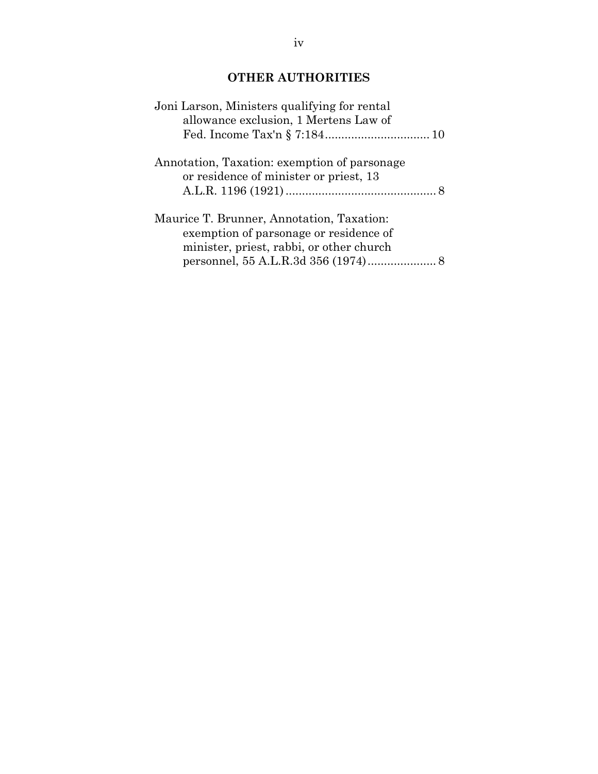### **OTHER AUTHORITIES**

| Joni Larson, Ministers qualifying for rental<br>allowance exclusion, 1 Mertens Law of                                           |  |
|---------------------------------------------------------------------------------------------------------------------------------|--|
| Annotation, Taxation: exemption of parsonage<br>or residence of minister or priest, 13                                          |  |
| Maurice T. Brunner, Annotation, Taxation:<br>exemption of parsonage or residence of<br>minister, priest, rabbi, or other church |  |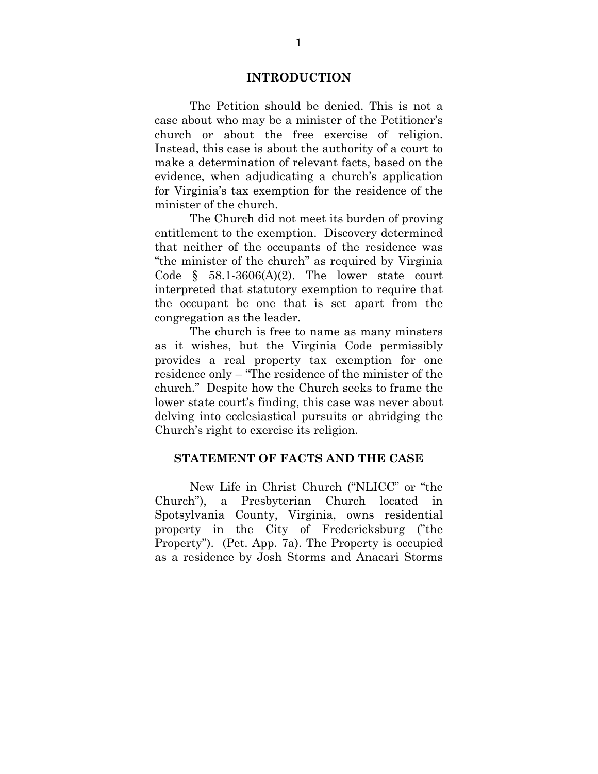#### **INTRODUCTION**

 The Petition should be denied. This is not a case about who may be a minister of the Petitioner's church or about the free exercise of religion. Instead, this case is about the authority of a court to make a determination of relevant facts, based on the evidence, when adjudicating a church's application for Virginia's tax exemption for the residence of the minister of the church.

 The Church did not meet its burden of proving entitlement to the exemption. Discovery determined that neither of the occupants of the residence was "the minister of the church" as required by Virginia Code  $\S$  58.1-3606(A)(2). The lower state court interpreted that statutory exemption to require that the occupant be one that is set apart from the congregation as the leader.

The church is free to name as many minsters as it wishes, but the Virginia Code permissibly provides a real property tax exemption for one residence only – "The residence of the minister of the church." Despite how the Church seeks to frame the lower state court's finding, this case was never about delving into ecclesiastical pursuits or abridging the Church's right to exercise its religion.

#### **STATEMENT OF FACTS AND THE CASE**

 New Life in Christ Church ("NLICC" or "the Church"), a Presbyterian Church located in Spotsylvania County, Virginia, owns residential property in the City of Fredericksburg ("the Property"). (Pet. App. 7a). The Property is occupied as a residence by Josh Storms and Anacari Storms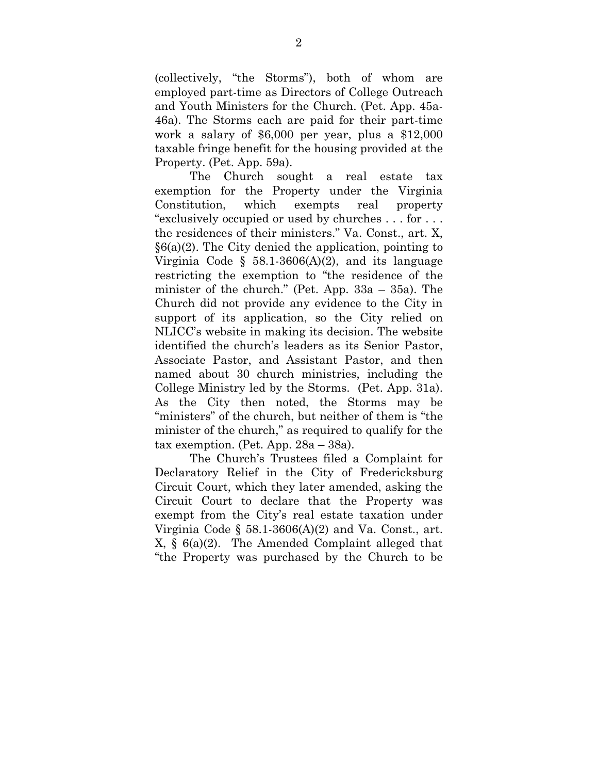(collectively, "the Storms"), both of whom are employed part-time as Directors of College Outreach and Youth Ministers for the Church. (Pet. App. 45a-46a). The Storms each are paid for their part-time work a salary of \$6,000 per year, plus a \$12,000 taxable fringe benefit for the housing provided at the Property. (Pet. App. 59a).

The Church sought a real estate tax exemption for the Property under the Virginia Constitution, which exempts real property "exclusively occupied or used by churches . . . for . . . the residences of their ministers." Va. Const., art. X,  $§6(a)(2)$ . The City denied the application, pointing to Virginia Code § 58.1-3606(A)(2), and its language restricting the exemption to "the residence of the minister of the church." (Pet. App. 33a – 35a). The Church did not provide any evidence to the City in support of its application, so the City relied on NLICC's website in making its decision. The website identified the church's leaders as its Senior Pastor, Associate Pastor, and Assistant Pastor, and then named about 30 church ministries, including the College Ministry led by the Storms. (Pet. App. 31a). As the City then noted, the Storms may be "ministers" of the church, but neither of them is "the minister of the church," as required to qualify for the tax exemption. (Pet. App. 28a – 38a).

The Church's Trustees filed a Complaint for Declaratory Relief in the City of Fredericksburg Circuit Court, which they later amended, asking the Circuit Court to declare that the Property was exempt from the City's real estate taxation under Virginia Code  $\S$  58.1-3606(A)(2) and Va. Const., art. X, § 6(a)(2). The Amended Complaint alleged that "the Property was purchased by the Church to be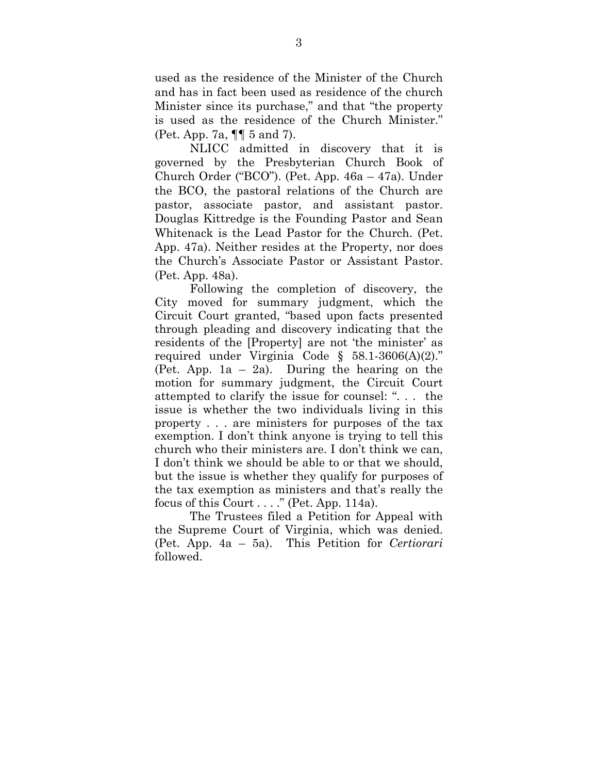used as the residence of the Minister of the Church and has in fact been used as residence of the church Minister since its purchase," and that "the property is used as the residence of the Church Minister." (Pet. App. 7a, ¶¶ 5 and 7).

NLICC admitted in discovery that it is governed by the Presbyterian Church Book of Church Order ("BCO"). (Pet. App. 46a – 47a). Under the BCO, the pastoral relations of the Church are pastor, associate pastor, and assistant pastor. Douglas Kittredge is the Founding Pastor and Sean Whitenack is the Lead Pastor for the Church. (Pet. App. 47a). Neither resides at the Property, nor does the Church's Associate Pastor or Assistant Pastor. (Pet. App. 48a).

Following the completion of discovery, the City moved for summary judgment, which the Circuit Court granted, "based upon facts presented through pleading and discovery indicating that the residents of the [Property] are not 'the minister' as required under Virginia Code § 58.1-3606(A)(2)." (Pet. App. 1a – 2a). During the hearing on the motion for summary judgment, the Circuit Court attempted to clarify the issue for counsel: ". . . the issue is whether the two individuals living in this property . . . are ministers for purposes of the tax exemption. I don't think anyone is trying to tell this church who their ministers are. I don't think we can, I don't think we should be able to or that we should, but the issue is whether they qualify for purposes of the tax exemption as ministers and that's really the focus of this Court  $\dots$ ." (Pet. App. 114a).

The Trustees filed a Petition for Appeal with the Supreme Court of Virginia, which was denied. (Pet. App. 4a – 5a). This Petition for *Certiorari*  followed.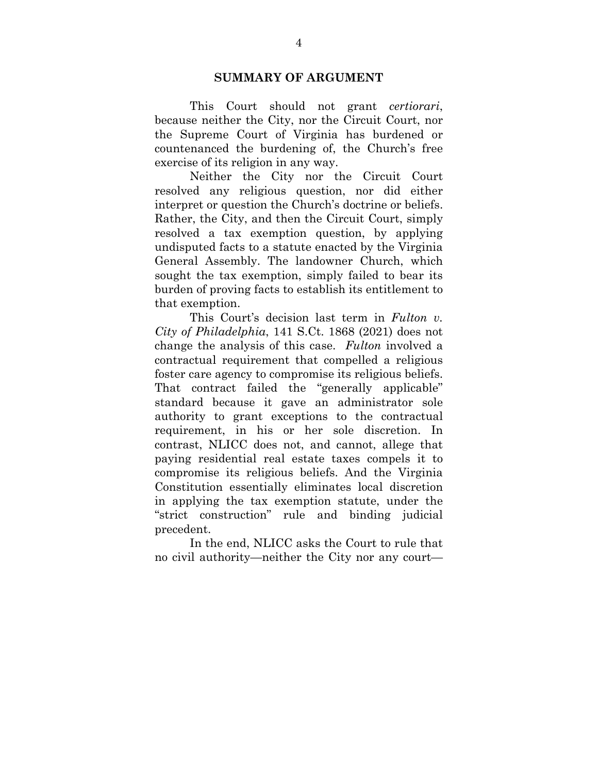#### **SUMMARY OF ARGUMENT**

This Court should not grant *certiorari*, because neither the City, nor the Circuit Court, nor the Supreme Court of Virginia has burdened or countenanced the burdening of, the Church's free exercise of its religion in any way.

Neither the City nor the Circuit Court resolved any religious question, nor did either interpret or question the Church's doctrine or beliefs. Rather, the City, and then the Circuit Court, simply resolved a tax exemption question, by applying undisputed facts to a statute enacted by the Virginia General Assembly. The landowner Church, which sought the tax exemption, simply failed to bear its burden of proving facts to establish its entitlement to that exemption.

This Court's decision last term in *Fulton v. City of Philadelphia*, 141 S.Ct. 1868 (2021) does not change the analysis of this case. *Fulton* involved a contractual requirement that compelled a religious foster care agency to compromise its religious beliefs. That contract failed the "generally applicable" standard because it gave an administrator sole authority to grant exceptions to the contractual requirement, in his or her sole discretion. In contrast, NLICC does not, and cannot, allege that paying residential real estate taxes compels it to compromise its religious beliefs. And the Virginia Constitution essentially eliminates local discretion in applying the tax exemption statute, under the "strict construction" rule and binding judicial precedent.

In the end, NLICC asks the Court to rule that no civil authority—neither the City nor any court—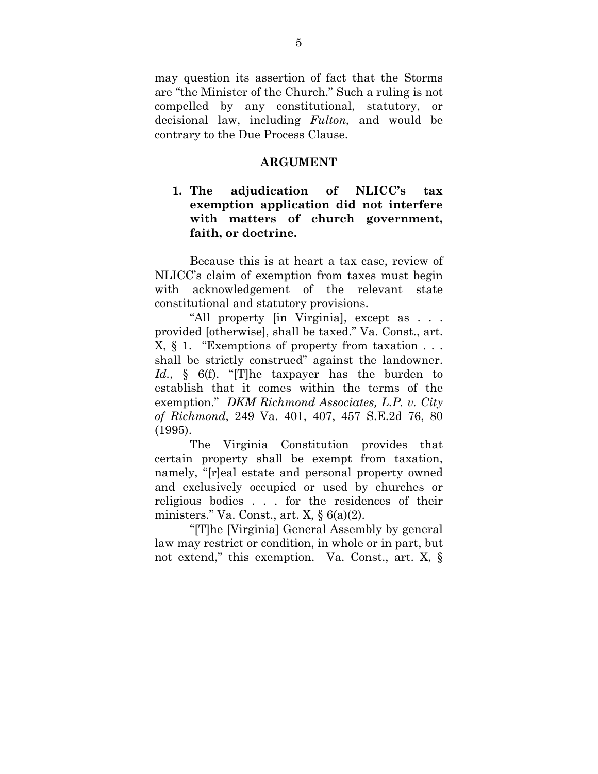may question its assertion of fact that the Storms are "the Minister of the Church." Such a ruling is not compelled by any constitutional, statutory, or decisional law, including *Fulton,* and would be contrary to the Due Process Clause.

#### **ARGUMENT**

### **1. The adjudication of NLICC's tax exemption application did not interfere with matters of church government, faith, or doctrine.**

Because this is at heart a tax case, review of NLICC's claim of exemption from taxes must begin with acknowledgement of the relevant state constitutional and statutory provisions.

"All property [in Virginia], except as . . . provided [otherwise], shall be taxed." Va. Const., art. X, § 1. "Exemptions of property from taxation . . . shall be strictly construed" against the landowner. *Id.*, § 6(f). "[T]he taxpayer has the burden to establish that it comes within the terms of the exemption." *DKM Richmond Associates, L.P. v. City of Richmond*, 249 Va. 401, 407, 457 S.E.2d 76, 80 (1995).

The Virginia Constitution provides that certain property shall be exempt from taxation, namely, "[r]eal estate and personal property owned and exclusively occupied or used by churches or religious bodies . . . for the residences of their ministers." Va. Const., art.  $X, \S$  6(a)(2).

"[T]he [Virginia] General Assembly by general law may restrict or condition, in whole or in part, but not extend," this exemption. Va. Const., art. X, §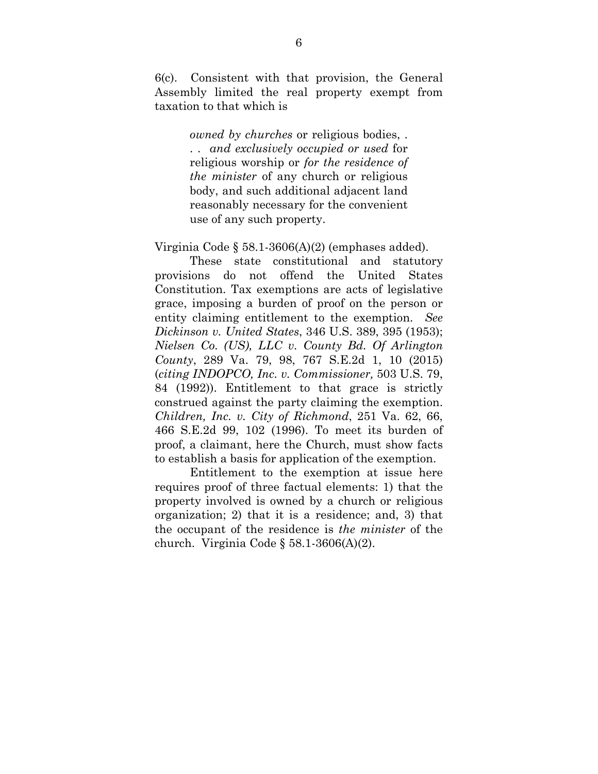6(c). Consistent with that provision, the General Assembly limited the real property exempt from taxation to that which is

> *owned by churches* or religious bodies, . . . *and exclusively occupied or used* for religious worship or *for the residence of the minister* of any church or religious body, and such additional adjacent land reasonably necessary for the convenient use of any such property.

Virginia Code § 58.1-3606(A)(2) (emphases added).

These state constitutional and statutory provisions do not offend the United States Constitution. Tax exemptions are acts of legislative grace, imposing a burden of proof on the person or entity claiming entitlement to the exemption. *See Dickinson v. United States*, 346 U.S. 389, 395 (1953); *Nielsen Co. (US), LLC v. County Bd. Of Arlington County*, 289 Va. 79, 98, 767 S.E.2d 1, 10 (2015) (*citing INDOPCO, Inc. v. Commissioner,* 503 U.S. 79, 84 (1992)). Entitlement to that grace is strictly construed against the party claiming the exemption. *Children, Inc. v. City of Richmond*, 251 Va. 62, 66, 466 S.E.2d 99, 102 (1996). To meet its burden of proof, a claimant, here the Church, must show facts to establish a basis for application of the exemption.

Entitlement to the exemption at issue here requires proof of three factual elements: 1) that the property involved is owned by a church or religious organization; 2) that it is a residence; and, 3) that the occupant of the residence is *the minister* of the church. Virginia Code  $\S 58.1-3606(A)(2)$ .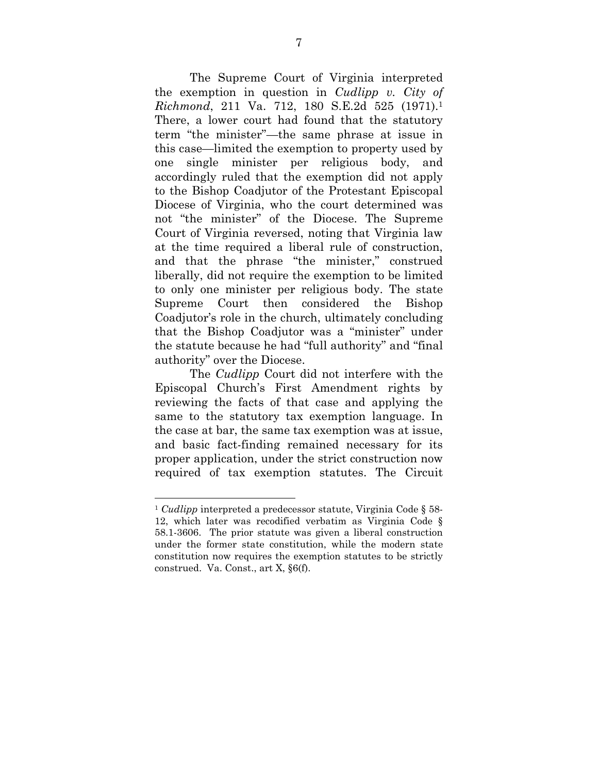The Supreme Court of Virginia interpreted the exemption in question in *Cudlipp v. City of Richmond*, 211 Va. 712, 180 S.E.2d 525 (1971).1 There, a lower court had found that the statutory term "the minister"—the same phrase at issue in this case—limited the exemption to property used by one single minister per religious body, and accordingly ruled that the exemption did not apply to the Bishop Coadjutor of the Protestant Episcopal Diocese of Virginia, who the court determined was not "the minister" of the Diocese. The Supreme Court of Virginia reversed, noting that Virginia law at the time required a liberal rule of construction, and that the phrase "the minister," construed liberally, did not require the exemption to be limited to only one minister per religious body. The state Supreme Court then considered the Bishop Coadjutor's role in the church, ultimately concluding that the Bishop Coadjutor was a "minister" under the statute because he had "full authority" and "final authority" over the Diocese.

The *Cudlipp* Court did not interfere with the Episcopal Church's First Amendment rights by reviewing the facts of that case and applying the same to the statutory tax exemption language. In the case at bar, the same tax exemption was at issue, and basic fact-finding remained necessary for its proper application, under the strict construction now required of tax exemption statutes. The Circuit

l

<sup>1</sup> *Cudlipp* interpreted a predecessor statute, Virginia Code § 58- 12, which later was recodified verbatim as Virginia Code § 58.1-3606. The prior statute was given a liberal construction under the former state constitution, while the modern state constitution now requires the exemption statutes to be strictly construed. Va. Const., art X, §6(f).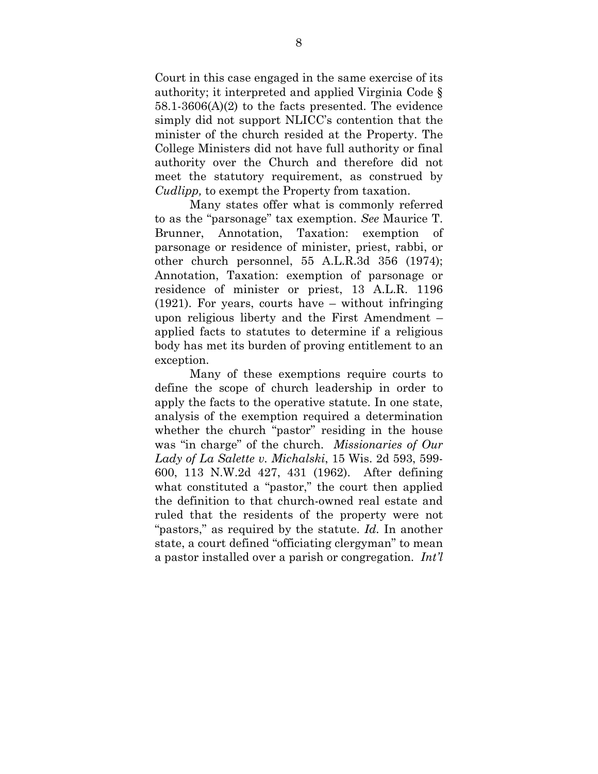Court in this case engaged in the same exercise of its authority; it interpreted and applied Virginia Code § 58.1-3606(A)(2) to the facts presented. The evidence simply did not support NLICC's contention that the minister of the church resided at the Property. The College Ministers did not have full authority or final authority over the Church and therefore did not meet the statutory requirement, as construed by *Cudlipp,* to exempt the Property from taxation.

Many states offer what is commonly referred to as the "parsonage" tax exemption. *See* Maurice T. Brunner, Annotation, Taxation: exemption of parsonage or residence of minister, priest, rabbi, or other church personnel, 55 A.L.R.3d 356 (1974); Annotation, Taxation: exemption of parsonage or residence of minister or priest, 13 A.L.R. 1196 (1921). For years, courts have – without infringing upon religious liberty and the First Amendment – applied facts to statutes to determine if a religious body has met its burden of proving entitlement to an exception.

Many of these exemptions require courts to define the scope of church leadership in order to apply the facts to the operative statute. In one state, analysis of the exemption required a determination whether the church "pastor" residing in the house was "in charge" of the church. *Missionaries of Our Lady of La Salette v. Michalski*, 15 Wis. 2d 593, 599- 600, 113 N.W.2d 427, 431 (1962). After defining what constituted a "pastor," the court then applied the definition to that church-owned real estate and ruled that the residents of the property were not "pastors," as required by the statute. *Id.* In another state, a court defined "officiating clergyman" to mean a pastor installed over a parish or congregation. *Int'l*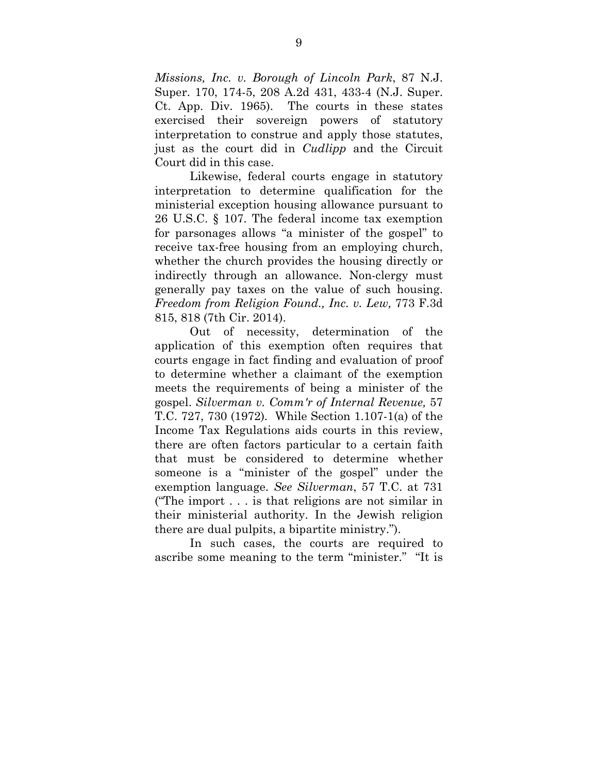*Missions, Inc. v. Borough of Lincoln Park*, 87 N.J. Super. 170, 174-5, 208 A.2d 431, 433-4 (N.J. Super. Ct. App. Div. 1965). The courts in these states exercised their sovereign powers of statutory interpretation to construe and apply those statutes, just as the court did in *Cudlipp* and the Circuit Court did in this case.

Likewise, federal courts engage in statutory interpretation to determine qualification for the ministerial exception housing allowance pursuant to 26 U.S.C. § 107. The federal income tax exemption for parsonages allows "a minister of the gospel" to receive tax-free housing from an employing church, whether the church provides the housing directly or indirectly through an allowance. Non-clergy must generally pay taxes on the value of such housing. *Freedom from Religion Found., Inc. v. Lew,* 773 F.3d 815, 818 (7th Cir. 2014).

Out of necessity, determination of the application of this exemption often requires that courts engage in fact finding and evaluation of proof to determine whether a claimant of the exemption meets the requirements of being a minister of the gospel. *Silverman v. Comm'r of Internal Revenue,* 57 T.C. 727, 730 (1972)*.* While Section 1.107-1(a) of the Income Tax Regulations aids courts in this review, there are often factors particular to a certain faith that must be considered to determine whether someone is a "minister of the gospel" under the exemption language. *See Silverman*, 57 T.C. at 731 ("The import . . . is that religions are not similar in their ministerial authority. In the Jewish religion there are dual pulpits, a bipartite ministry.").

In such cases, the courts are required to ascribe some meaning to the term "minister." "It is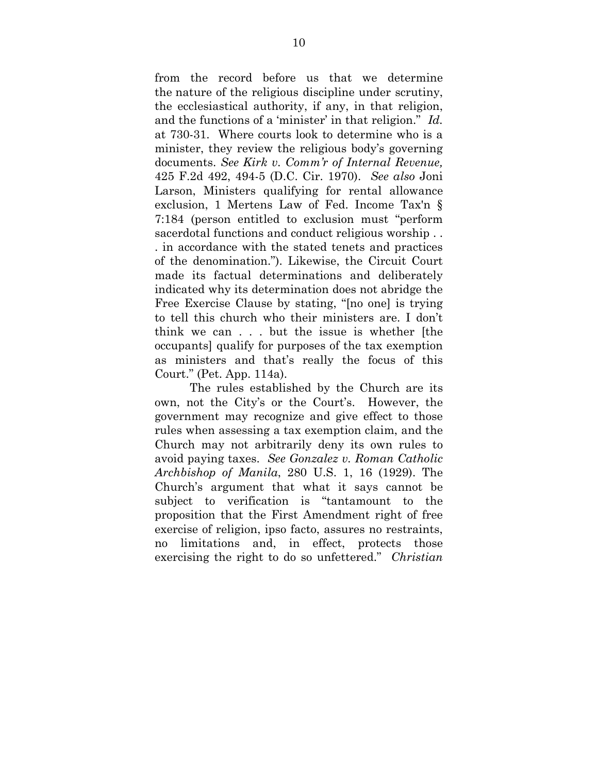from the record before us that we determine the nature of the religious discipline under scrutiny, the ecclesiastical authority, if any, in that religion, and the functions of a 'minister' in that religion." *Id.*  at 730-31. Where courts look to determine who is a minister, they review the religious body's governing documents. *See Kirk v. Comm'r of Internal Revenue,*  425 F.2d 492, 494-5 (D.C. Cir. 1970). *See also* Joni Larson, Ministers qualifying for rental allowance exclusion, 1 Mertens Law of Fed. Income Tax'n § 7:184 (person entitled to exclusion must "perform sacerdotal functions and conduct religious worship . . . in accordance with the stated tenets and practices of the denomination."). Likewise, the Circuit Court made its factual determinations and deliberately indicated why its determination does not abridge the Free Exercise Clause by stating, "[no one] is trying to tell this church who their ministers are. I don't think we can . . . but the issue is whether [the occupants] qualify for purposes of the tax exemption as ministers and that's really the focus of this Court." (Pet. App. 114a).

The rules established by the Church are its own, not the City's or the Court's. However, the government may recognize and give effect to those rules when assessing a tax exemption claim, and the Church may not arbitrarily deny its own rules to avoid paying taxes. *See Gonzalez v. Roman Catholic Archbishop of Manila*, 280 U.S. 1, 16 (1929). The Church's argument that what it says cannot be subject to verification is "tantamount to the proposition that the First Amendment right of free exercise of religion, ipso facto, assures no restraints, no limitations and, in effect, protects those exercising the right to do so unfettered." *Christian*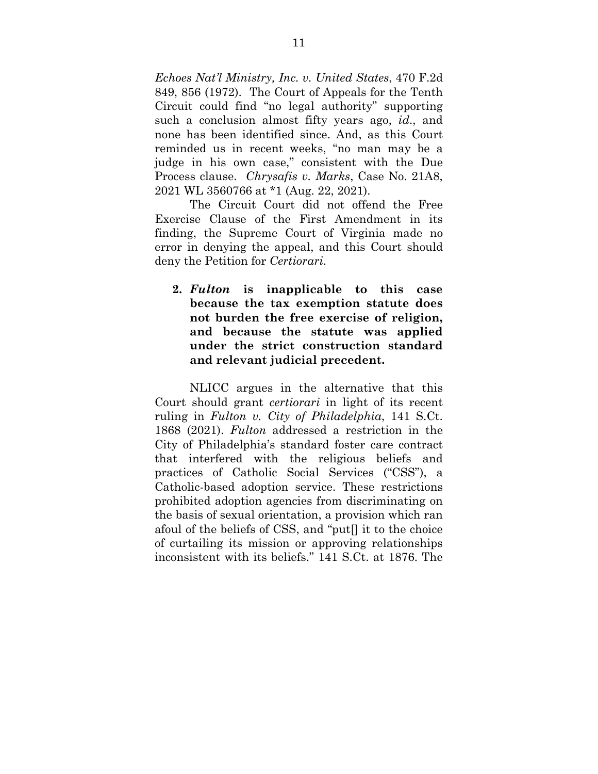*Echoes Nat'l Ministry, Inc. v. United States*, 470 F.2d 849, 856 (1972). The Court of Appeals for the Tenth Circuit could find "no legal authority" supporting such a conclusion almost fifty years ago, *id*., and none has been identified since. And, as this Court reminded us in recent weeks, "no man may be a judge in his own case," consistent with the Due Process clause. *Chrysafis v. Marks*, Case No. 21A8, 2021 WL 3560766 at \*1 (Aug. 22, 2021).

The Circuit Court did not offend the Free Exercise Clause of the First Amendment in its finding, the Supreme Court of Virginia made no error in denying the appeal, and this Court should deny the Petition for *Certiorari*.

**2.** *Fulton* **is inapplicable to this case because the tax exemption statute does not burden the free exercise of religion, and because the statute was applied under the strict construction standard and relevant judicial precedent.** 

NLICC argues in the alternative that this Court should grant *certiorari* in light of its recent ruling in *Fulton v. City of Philadelphia*, 141 S.Ct. 1868 (2021). *Fulton* addressed a restriction in the City of Philadelphia's standard foster care contract that interfered with the religious beliefs and practices of Catholic Social Services ("CSS"), a Catholic-based adoption service. These restrictions prohibited adoption agencies from discriminating on the basis of sexual orientation, a provision which ran afoul of the beliefs of CSS, and "put[] it to the choice of curtailing its mission or approving relationships inconsistent with its beliefs." 141 S.Ct. at 1876. The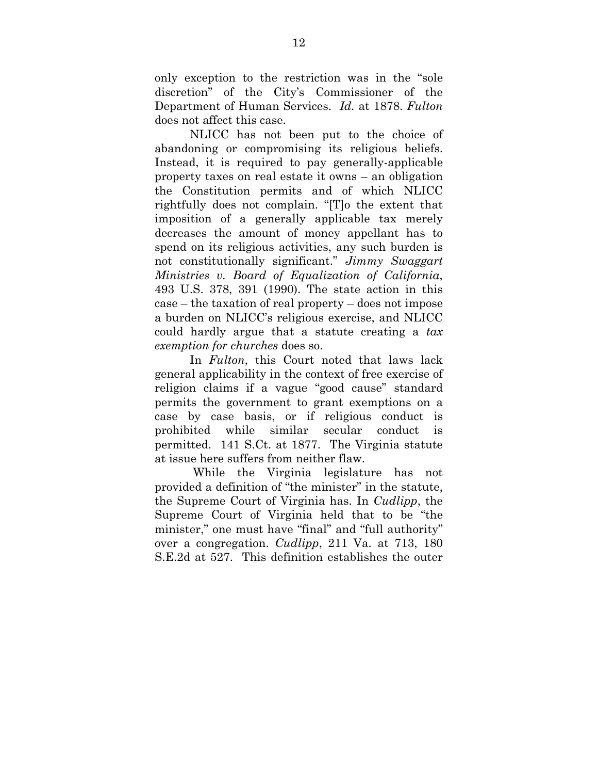only exception to the restriction was in the "sole discretion" of the City's Commissioner of the Department of Human Services. *Id.* at 1878. *Fulton* does not affect this case.

NLICC has not been put to the choice of abandoning or compromising its religious beliefs. Instead, it is required to pay generally-applicable property taxes on real estate it owns – an obligation the Constitution permits and of which NLICC rightfully does not complain. "[T]o the extent that imposition of a generally applicable tax merely decreases the amount of money appellant has to spend on its religious activities, any such burden is not constitutionally significant." *Jimmy Swaggart Ministries v. Board of Equalization of California*, 493 U.S. 378, 391 (1990). The state action in this case – the taxation of real property – does not impose a burden on NLICC's religious exercise, and NLICC could hardly argue that a statute creating a *tax exemption for churches* does so.

In *Fulton*, this Court noted that laws lack general applicability in the context of free exercise of religion claims if a vague "good cause" standard permits the government to grant exemptions on a case by case basis, or if religious conduct is prohibited while similar secular conduct is permitted. 141 S.Ct. at 1877. The Virginia statute at issue here suffers from neither flaw.

 While the Virginia legislature has not provided a definition of "the minister" in the statute, the Supreme Court of Virginia has. In *Cudlipp*, the Supreme Court of Virginia held that to be "the minister," one must have "final" and "full authority" over a congregation. *Cudlipp*, 211 Va. at 713, 180 S.E.2d at 527. This definition establishes the outer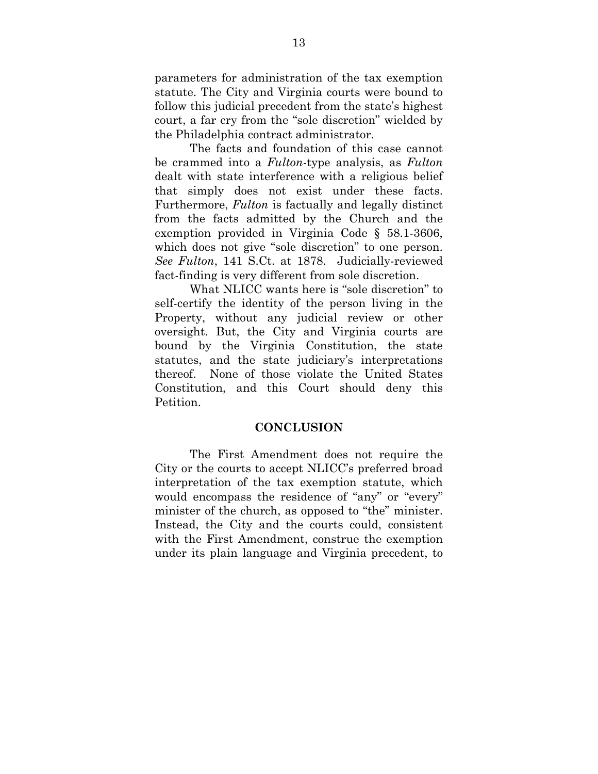parameters for administration of the tax exemption statute. The City and Virginia courts were bound to follow this judicial precedent from the state's highest court, a far cry from the "sole discretion" wielded by the Philadelphia contract administrator.

 The facts and foundation of this case cannot be crammed into a *Fulton*-type analysis, as *Fulton*  dealt with state interference with a religious belief that simply does not exist under these facts. Furthermore, *Fulton* is factually and legally distinct from the facts admitted by the Church and the exemption provided in Virginia Code § 58.1-3606, which does not give "sole discretion" to one person. *See Fulton*, 141 S.Ct. at 1878. Judicially-reviewed fact-finding is very different from sole discretion.

What NLICC wants here is "sole discretion" to self-certify the identity of the person living in the Property, without any judicial review or other oversight. But, the City and Virginia courts are bound by the Virginia Constitution, the state statutes, and the state judiciary's interpretations thereof. None of those violate the United States Constitution, and this Court should deny this Petition.

#### **CONCLUSION**

The First Amendment does not require the City or the courts to accept NLICC's preferred broad interpretation of the tax exemption statute, which would encompass the residence of "any" or "every" minister of the church, as opposed to "the" minister. Instead, the City and the courts could, consistent with the First Amendment, construe the exemption under its plain language and Virginia precedent, to